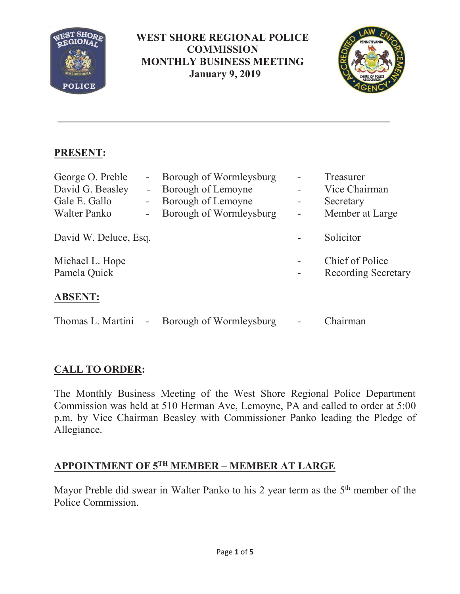

### **WEST SHORE REGIONAL POLICE COMMISSION MONTHLY BUSINESS MEETING January 9, 2019**



## **PRESENT:**

| George O. Preble<br>David G. Beasley<br>Gale E. Gallo<br>Walter Panko | $\blacksquare$<br>$\blacksquare$<br>$\overline{\phantom{0}}$<br>$\qquad \qquad \blacksquare$ | Borough of Wormleysburg<br>Borough of Lemoyne<br>Borough of Lemoyne<br>Borough of Wormleysburg | ۰ | Treasurer<br>Vice Chairman<br>Secretary<br>Member at Large |
|-----------------------------------------------------------------------|----------------------------------------------------------------------------------------------|------------------------------------------------------------------------------------------------|---|------------------------------------------------------------|
| David W. Deluce, Esq.                                                 |                                                                                              |                                                                                                |   | Solicitor                                                  |
| Michael L. Hope<br>Pamela Quick                                       |                                                                                              |                                                                                                |   | <b>Chief of Police</b><br><b>Recording Secretary</b>       |
| <b>ABSENT:</b>                                                        |                                                                                              |                                                                                                |   |                                                            |
| Thomas L. Martini                                                     | $\overline{\phantom{a}}$                                                                     | Borough of Wormleysburg                                                                        |   | Chairman                                                   |

## **CALL TO ORDER:**

The Monthly Business Meeting of the West Shore Regional Police Department Commission was held at 510 Herman Ave, Lemoyne, PA and called to order at 5:00 p.m. by Vice Chairman Beasley with Commissioner Panko leading the Pledge of Allegiance.

# **APPOINTMENT OF 5TH MEMBER – MEMBER AT LARGE**

Mayor Preble did swear in Walter Panko to his 2 year term as the 5<sup>th</sup> member of the Police Commission.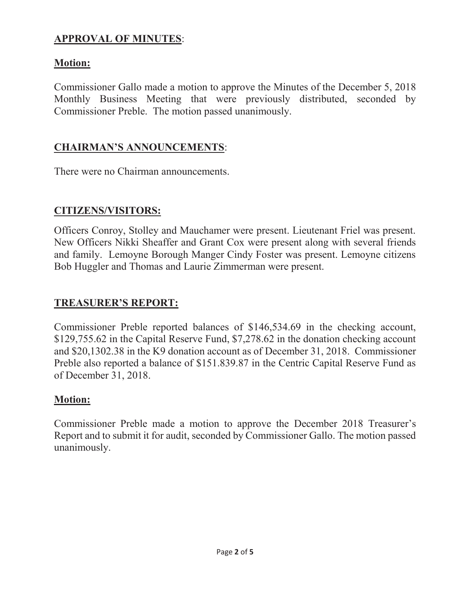## **APPROVAL OF MINUTES**:

### **Motion:**

Commissioner Gallo made a motion to approve the Minutes of the December 5, 2018 Monthly Business Meeting that were previously distributed, seconded by Commissioner Preble. The motion passed unanimously.

### **CHAIRMAN'S ANNOUNCEMENTS**:

There were no Chairman announcements.

#### **CITIZENS/VISITORS:**

Officers Conroy, Stolley and Mauchamer were present. Lieutenant Friel was present. New Officers Nikki Sheaffer and Grant Cox were present along with several friends and family. Lemoyne Borough Manger Cindy Foster was present. Lemoyne citizens Bob Huggler and Thomas and Laurie Zimmerman were present.

### **TREASURER'S REPORT:**

Commissioner Preble reported balances of \$146,534.69 in the checking account, \$129,755.62 in the Capital Reserve Fund, \$7,278.62 in the donation checking account and \$20,1302.38 in the K9 donation account as of December 31, 2018. Commissioner Preble also reported a balance of \$151.839.87 in the Centric Capital Reserve Fund as of December 31, 2018.

### **Motion:**

Commissioner Preble made a motion to approve the December 2018 Treasurer's Report and to submit it for audit, seconded by Commissioner Gallo. The motion passed unanimously.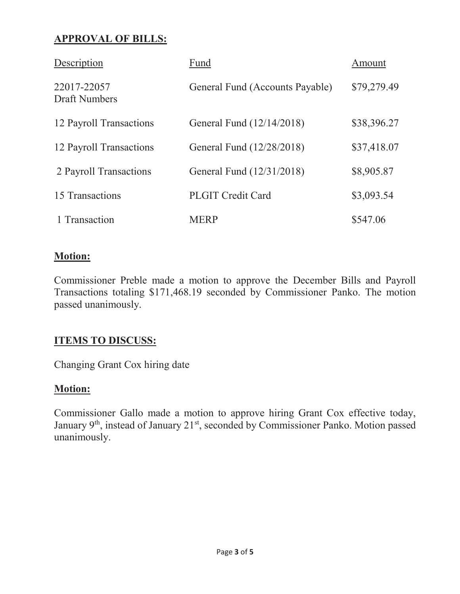## **APPROVAL OF BILLS:**

| Description                         | Fund                            | Amount      |
|-------------------------------------|---------------------------------|-------------|
| 22017-22057<br><b>Draft Numbers</b> | General Fund (Accounts Payable) | \$79,279.49 |
| 12 Payroll Transactions             | General Fund (12/14/2018)       | \$38,396.27 |
| 12 Payroll Transactions             | General Fund (12/28/2018)       | \$37,418.07 |
| 2 Payroll Transactions              | General Fund (12/31/2018)       | \$8,905.87  |
| 15 Transactions                     | <b>PLGIT Credit Card</b>        | \$3,093.54  |
| 1 Transaction                       | <b>MERP</b>                     | \$547.06    |

#### **Motion:**

Commissioner Preble made a motion to approve the December Bills and Payroll Transactions totaling \$171,468.19 seconded by Commissioner Panko. The motion passed unanimously.

### **ITEMS TO DISCUSS:**

Changing Grant Cox hiring date

### **Motion:**

Commissioner Gallo made a motion to approve hiring Grant Cox effective today, January 9<sup>th</sup>, instead of January 21<sup>st</sup>, seconded by Commissioner Panko. Motion passed unanimously.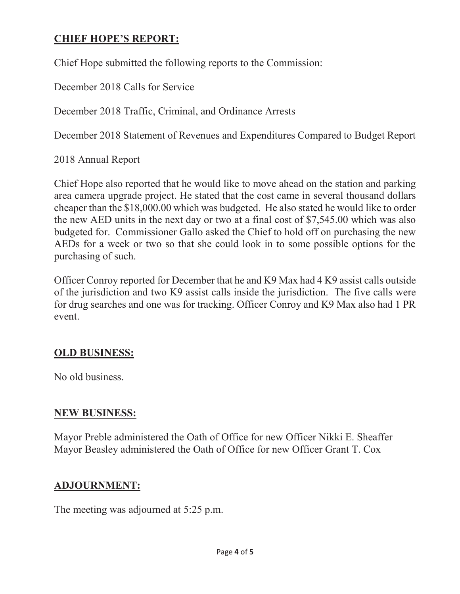### **CHIEF HOPE'S REPORT:**

Chief Hope submitted the following reports to the Commission:

December 2018 Calls for Service

December 2018 Traffic, Criminal, and Ordinance Arrests

December 2018 Statement of Revenues and Expenditures Compared to Budget Report

2018 Annual Report

Chief Hope also reported that he would like to move ahead on the station and parking area camera upgrade project. He stated that the cost came in several thousand dollars cheaper than the \$18,000.00 which was budgeted. He also stated he would like to order the new AED units in the next day or two at a final cost of \$7,545.00 which was also budgeted for. Commissioner Gallo asked the Chief to hold off on purchasing the new AEDs for a week or two so that she could look in to some possible options for the purchasing of such.

Officer Conroy reported for December that he and K9 Max had 4 K9 assist calls outside of the jurisdiction and two K9 assist calls inside the jurisdiction. The five calls were for drug searches and one was for tracking. Officer Conroy and K9 Max also had 1 PR event.

#### **OLD BUSINESS:**

No old business.

#### **NEW BUSINESS:**

Mayor Preble administered the Oath of Office for new Officer Nikki E. Sheaffer Mayor Beasley administered the Oath of Office for new Officer Grant T. Cox

#### **ADJOURNMENT:**

The meeting was adjourned at 5:25 p.m.